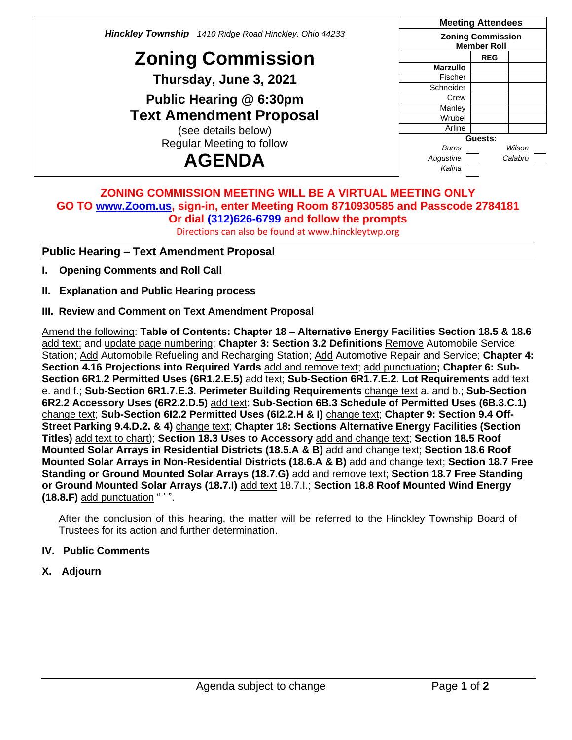*Hinckley Township 1410 Ridge Road Hinckley, Ohio 44233* **Zoning Commission Thursday, June 3, 2021 Public Hearing @ 6:30pm Text Amendment Proposal** (see details below) Regular Meeting to follow **AGENDA Meeting Attendees Zoning Commission Member Roll REG Marzullo** Fischer Schneider Crew **Manley** Wrubel **Arline Guests:** *Burns Wilson Augustine Calabro Kalina*

### **ZONING COMMISSION MEETING WILL BE A VIRTUAL MEETING ONLY GO TO [www.Zoom.us,](http://www.zoom.us/) sign-in, enter Meeting Room 8710930585 and Passcode 2784181 Or dial (312)626-6799 and follow the prompts**

Directions can also be found at www.hinckleytwp.org

# **Public Hearing – Text Amendment Proposal**

- **I. Opening Comments and Roll Call**
- **II. Explanation and Public Hearing process**
- **III. Review and Comment on Text Amendment Proposal**

Amend the following: **Table of Contents: Chapter 18 – Alternative Energy Facilities Section 18.5 & 18.6** add text; and update page numbering; **Chapter 3: Section 3.2 Definitions** Remove Automobile Service Station; Add Automobile Refueling and Recharging Station; Add Automotive Repair and Service; **Chapter 4: Section 4.16 Projections into Required Yards** add and remove text; add punctuation**; Chapter 6: Sub-Section 6R1.2 Permitted Uses (6R1.2.E.5)** add text; **Sub-Section 6R1.7.E.2. Lot Requirements** add text e. and f.; **Sub-Section 6R1.7.E.3. Perimeter Building Requirements** change text a. and b.; **Sub-Section 6R2.2 Accessory Uses (6R2.2.D.5)** add text; **Sub-Section 6B.3 Schedule of Permitted Uses (6B.3.C.1)** change text; **Sub-Section 6I2.2 Permitted Uses (6I2.2.H & I)** change text; **Chapter 9: Section 9.4 Off-Street Parking 9.4.D.2. & 4)** change text; **Chapter 18: Sections Alternative Energy Facilities (Section Titles)** add text to chart); **Section 18.3 Uses to Accessory** add and change text; **Section 18.5 Roof Mounted Solar Arrays in Residential Districts (18.5.A & B)** add and change text; **Section 18.6 Roof Mounted Solar Arrays in Non-Residential Districts (18.6.A & B)** add and change text; **Section 18.7 Free Standing or Ground Mounted Solar Arrays (18.7.G)** add and remove text; **Section 18.7 Free Standing or Ground Mounted Solar Arrays (18.7.I)** add text 18.7.I.; **Section 18.8 Roof Mounted Wind Energy (18.8.F)** add punctuation " ' ".

After the conclusion of this hearing, the matter will be referred to the Hinckley Township Board of Trustees for its action and further determination.

## **IV. Public Comments**

**X. Adjourn**